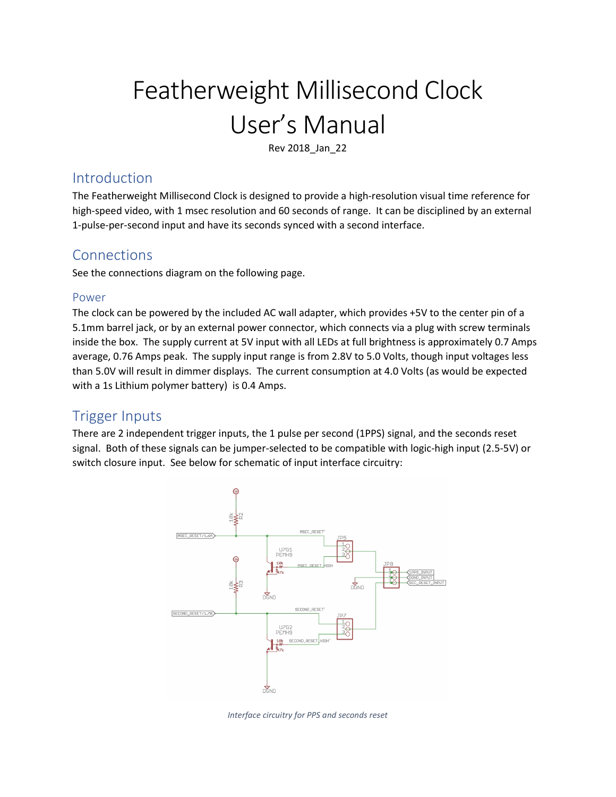# Featherweight Millisecond Clock User's Manual

Rev 2018\_Jan\_22

## Introduction

The Featherweight Millisecond Clock is designed to provide a high-resolution visual time reference for high-speed video, with 1 msec resolution and 60 seconds of range. It can be disciplined by an external 1-pulse-per-second input and have its seconds synced with a second interface.

## Connections

See the connections diagram on the following page.

#### Power

The clock can be powered by the included AC wall adapter, which provides +5V to the center pin of a 5.1mm barrel jack, or by an external power connector, which connects via a plug with screw terminals inside the box. The supply current at 5V input with all LEDs at full brightness is approximately 0.7 Amps average, 0.76 Amps peak. The supply input range is from 2.8V to 5.0 Volts, though input voltages less than 5.0V will result in dimmer displays. The current consumption at 4.0 Volts (as would be expected with a 1s Lithium polymer battery) is 0.4 Amps.

## Trigger Inputs

There are 2 independent trigger inputs, the 1 pulse per second (1PPS) signal, and the seconds reset signal. Both of these signals can be jumper-selected to be compatible with logic-high input (2.5-5V) or switch closure input. See below for schematic of input interface circuitry:



Interface circuitry for PPS and seconds reset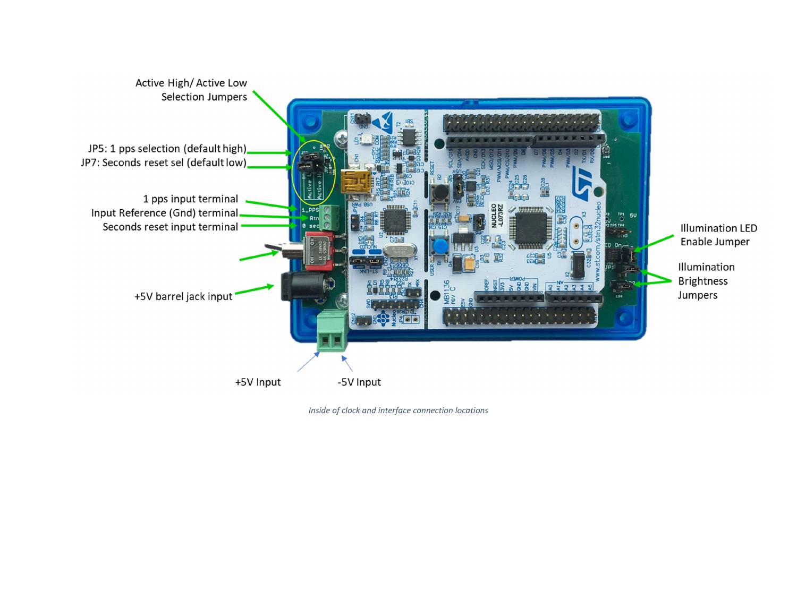

Inside of clock and interface connection locations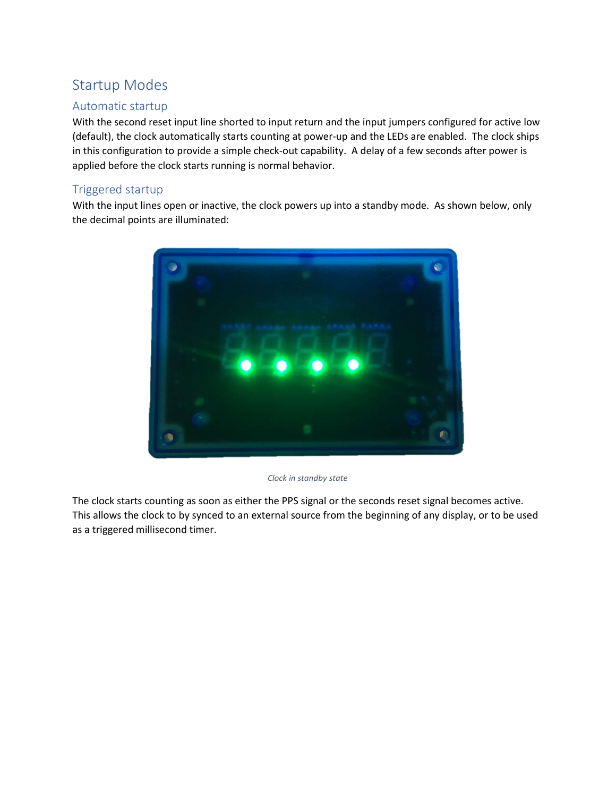# Startup Modes

#### Automatic startup

With the second reset input line shorted to input return and the input jumpers configured for active low (default), the clock automatically starts counting at power-up and the LEDs are enabled. The clock ships in this configuration to provide a simple check-out capability. A delay of a few seconds after power is applied before the clock starts running is normal behavior.

#### Triggered startup

With the input lines open or inactive, the clock powers up into a standby mode. As shown below, only the decimal points are illuminated:



Clock in standby state

The clock starts counting as soon as either the PPS signal or the seconds reset signal becomes active. This allows the clock to by synced to an external source from the beginning of any display, or to be used as a triggered millisecond timer.